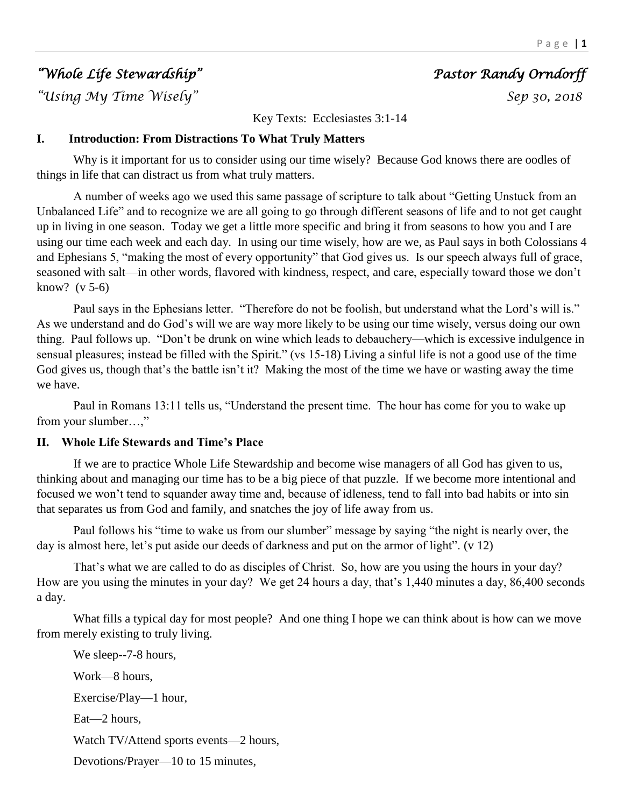# *"Whole Life Stewardship" Pastor Randy Orndorff*

*"Using My Time Wisely" Sep 30, 2018* 

Key Texts: Ecclesiastes 3:1-14

# **I. Introduction: From Distractions To What Truly Matters**

Why is it important for us to consider using our time wisely? Because God knows there are oodles of things in life that can distract us from what truly matters.

A number of weeks ago we used this same passage of scripture to talk about "Getting Unstuck from an Unbalanced Life" and to recognize we are all going to go through different seasons of life and to not get caught up in living in one season. Today we get a little more specific and bring it from seasons to how you and I are using our time each week and each day. In using our time wisely, how are we, as Paul says in both Colossians 4 and Ephesians 5, "making the most of every opportunity" that God gives us. Is our speech always full of grace, seasoned with salt—in other words, flavored with kindness, respect, and care, especially toward those we don't know? (v 5-6)

Paul says in the Ephesians letter. "Therefore do not be foolish, but understand what the Lord's will is." As we understand and do God's will we are way more likely to be using our time wisely, versus doing our own thing. Paul follows up. "Don't be drunk on wine which leads to debauchery—which is excessive indulgence in sensual pleasures; instead be filled with the Spirit." (vs 15-18) Living a sinful life is not a good use of the time God gives us, though that's the battle isn't it? Making the most of the time we have or wasting away the time we have.

Paul in Romans 13:11 tells us, "Understand the present time. The hour has come for you to wake up from your slumber…,"

### **II. Whole Life Stewards and Time's Place**

If we are to practice Whole Life Stewardship and become wise managers of all God has given to us, thinking about and managing our time has to be a big piece of that puzzle. If we become more intentional and focused we won't tend to squander away time and, because of idleness, tend to fall into bad habits or into sin that separates us from God and family, and snatches the joy of life away from us.

Paul follows his "time to wake us from our slumber" message by saying "the night is nearly over, the day is almost here, let's put aside our deeds of darkness and put on the armor of light". (v 12)

That's what we are called to do as disciples of Christ. So, how are you using the hours in your day? How are you using the minutes in your day? We get 24 hours a day, that's 1,440 minutes a day, 86,400 seconds a day.

What fills a typical day for most people? And one thing I hope we can think about is how can we move from merely existing to truly living.

We sleep--7-8 hours, Work—8 hours, Exercise/Play—1 hour, Eat—2 hours, Watch TV/Attend sports events—2 hours, Devotions/Prayer—10 to 15 minutes,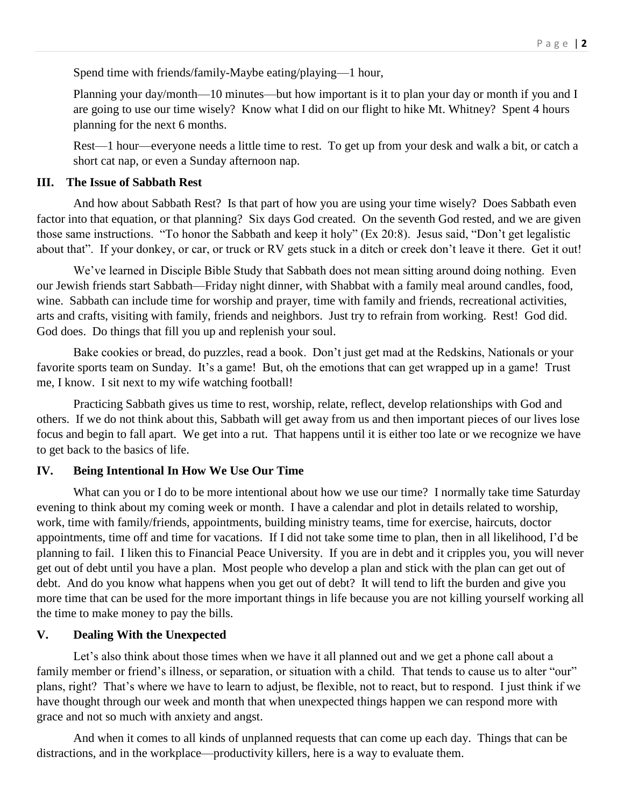Spend time with friends/family-Maybe eating/playing—1 hour,

Planning your day/month—10 minutes—but how important is it to plan your day or month if you and I are going to use our time wisely? Know what I did on our flight to hike Mt. Whitney? Spent 4 hours planning for the next 6 months.

Rest—1 hour—everyone needs a little time to rest. To get up from your desk and walk a bit, or catch a short cat nap, or even a Sunday afternoon nap.

#### **III. The Issue of Sabbath Rest**

And how about Sabbath Rest? Is that part of how you are using your time wisely? Does Sabbath even factor into that equation, or that planning? Six days God created. On the seventh God rested, and we are given those same instructions. "To honor the Sabbath and keep it holy" (Ex 20:8). Jesus said, "Don't get legalistic about that". If your donkey, or car, or truck or RV gets stuck in a ditch or creek don't leave it there. Get it out!

We've learned in Disciple Bible Study that Sabbath does not mean sitting around doing nothing. Even our Jewish friends start Sabbath—Friday night dinner, with Shabbat with a family meal around candles, food, wine. Sabbath can include time for worship and prayer, time with family and friends, recreational activities, arts and crafts, visiting with family, friends and neighbors. Just try to refrain from working. Rest! God did. God does. Do things that fill you up and replenish your soul.

Bake cookies or bread, do puzzles, read a book. Don't just get mad at the Redskins, Nationals or your favorite sports team on Sunday. It's a game! But, oh the emotions that can get wrapped up in a game! Trust me, I know. I sit next to my wife watching football!

Practicing Sabbath gives us time to rest, worship, relate, reflect, develop relationships with God and others. If we do not think about this, Sabbath will get away from us and then important pieces of our lives lose focus and begin to fall apart. We get into a rut. That happens until it is either too late or we recognize we have to get back to the basics of life.

### **IV. Being Intentional In How We Use Our Time**

What can you or I do to be more intentional about how we use our time? I normally take time Saturday evening to think about my coming week or month. I have a calendar and plot in details related to worship, work, time with family/friends, appointments, building ministry teams, time for exercise, haircuts, doctor appointments, time off and time for vacations. If I did not take some time to plan, then in all likelihood, I'd be planning to fail. I liken this to Financial Peace University. If you are in debt and it cripples you, you will never get out of debt until you have a plan. Most people who develop a plan and stick with the plan can get out of debt. And do you know what happens when you get out of debt? It will tend to lift the burden and give you more time that can be used for the more important things in life because you are not killing yourself working all the time to make money to pay the bills.

### **V. Dealing With the Unexpected**

Let's also think about those times when we have it all planned out and we get a phone call about a family member or friend's illness, or separation, or situation with a child. That tends to cause us to alter "our" plans, right? That's where we have to learn to adjust, be flexible, not to react, but to respond. I just think if we have thought through our week and month that when unexpected things happen we can respond more with grace and not so much with anxiety and angst.

And when it comes to all kinds of unplanned requests that can come up each day. Things that can be distractions, and in the workplace—productivity killers, here is a way to evaluate them.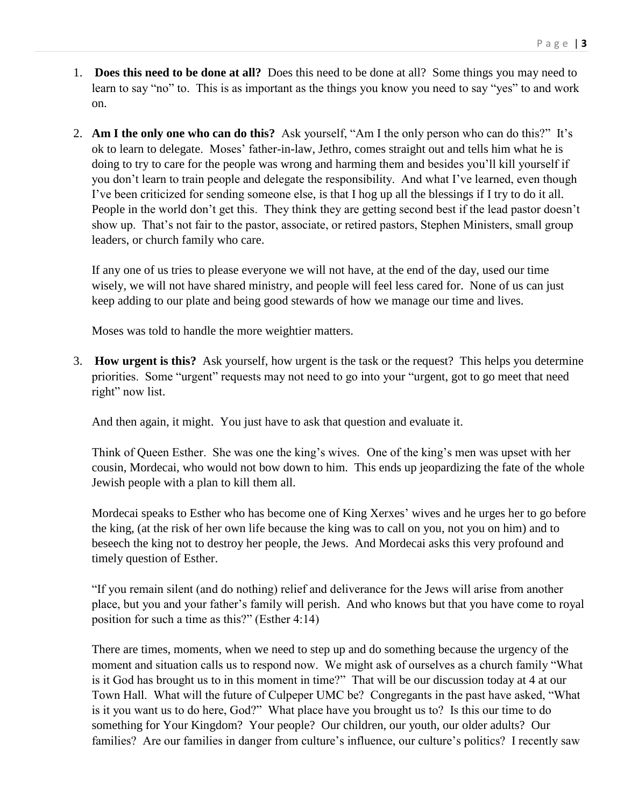- 1. **Does this need to be done at all?** Does this need to be done at all? Some things you may need to learn to say "no" to. This is as important as the things you know you need to say "yes" to and work on.
- 2. **Am I the only one who can do this?** Ask yourself, "Am I the only person who can do this?" It's ok to learn to delegate. Moses' father-in-law, Jethro, comes straight out and tells him what he is doing to try to care for the people was wrong and harming them and besides you'll kill yourself if you don't learn to train people and delegate the responsibility. And what I've learned, even though I've been criticized for sending someone else, is that I hog up all the blessings if I try to do it all. People in the world don't get this. They think they are getting second best if the lead pastor doesn't show up. That's not fair to the pastor, associate, or retired pastors, Stephen Ministers, small group leaders, or church family who care.

If any one of us tries to please everyone we will not have, at the end of the day, used our time wisely, we will not have shared ministry, and people will feel less cared for. None of us can just keep adding to our plate and being good stewards of how we manage our time and lives.

Moses was told to handle the more weightier matters.

3. **How urgent is this?** Ask yourself, how urgent is the task or the request? This helps you determine priorities. Some "urgent" requests may not need to go into your "urgent, got to go meet that need right" now list.

And then again, it might. You just have to ask that question and evaluate it.

Think of Queen Esther. She was one the king's wives. One of the king's men was upset with her cousin, Mordecai, who would not bow down to him. This ends up jeopardizing the fate of the whole Jewish people with a plan to kill them all.

Mordecai speaks to Esther who has become one of King Xerxes' wives and he urges her to go before the king, (at the risk of her own life because the king was to call on you, not you on him) and to beseech the king not to destroy her people, the Jews. And Mordecai asks this very profound and timely question of Esther.

"If you remain silent (and do nothing) relief and deliverance for the Jews will arise from another place, but you and your father's family will perish. And who knows but that you have come to royal position for such a time as this?" (Esther 4:14)

There are times, moments, when we need to step up and do something because the urgency of the moment and situation calls us to respond now. We might ask of ourselves as a church family "What is it God has brought us to in this moment in time?" That will be our discussion today at 4 at our Town Hall. What will the future of Culpeper UMC be? Congregants in the past have asked, "What is it you want us to do here, God?" What place have you brought us to? Is this our time to do something for Your Kingdom? Your people? Our children, our youth, our older adults? Our families? Are our families in danger from culture's influence, our culture's politics? I recently saw